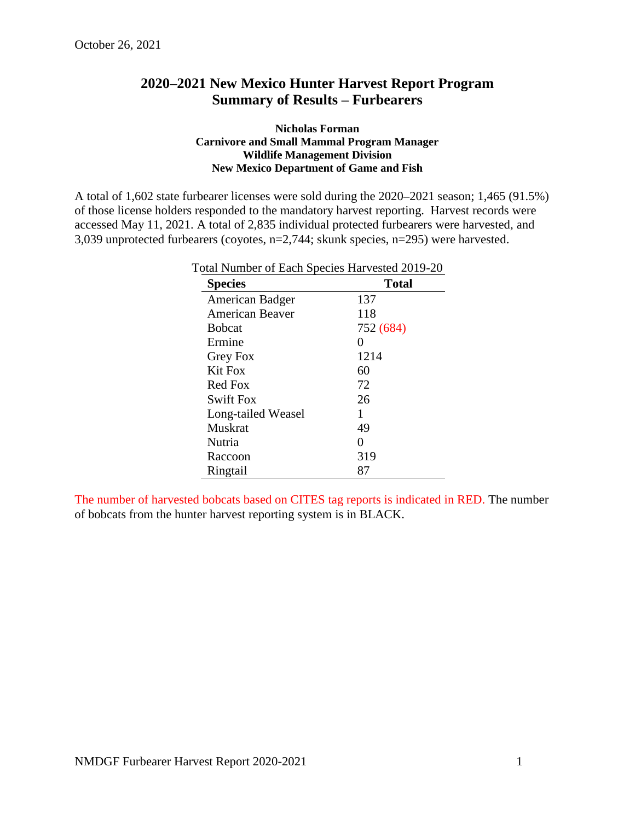## **2020–2021 New Mexico Hunter Harvest Report Program Summary of Results – Furbearers**

## **Nicholas Forman Carnivore and Small Mammal Program Manager Wildlife Management Division New Mexico Department of Game and Fish**

A total of 1,602 state furbearer licenses were sold during the 2020**–**2021 season; 1,465 (91.5%) of those license holders responded to the mandatory harvest reporting. Harvest records were accessed May 11, 2021. A total of 2,835 individual protected furbearers were harvested, and 3,039 unprotected furbearers (coyotes, n=2,744; skunk species, n=295) were harvested.

| <b>Species</b>         | <b>Total</b> |
|------------------------|--------------|
| American Badger        | 137          |
| <b>American Beaver</b> | 118          |
| <b>B</b> obcat         | 752 (684)    |
| Ermine                 | 0            |
| Grey Fox               | 1214         |
| <b>Kit Fox</b>         | 60           |
| Red Fox                | 72           |
| <b>Swift Fox</b>       | 26           |
| Long-tailed Weasel     | 1            |
| Muskrat                | 49           |
| Nutria                 | 0            |
| Raccoon                | 319          |
| Ringtail               | 87           |

Total Number of Each Species Harvested 2019-20

The number of harvested bobcats based on CITES tag reports is indicated in RED. The number of bobcats from the hunter harvest reporting system is in BLACK.